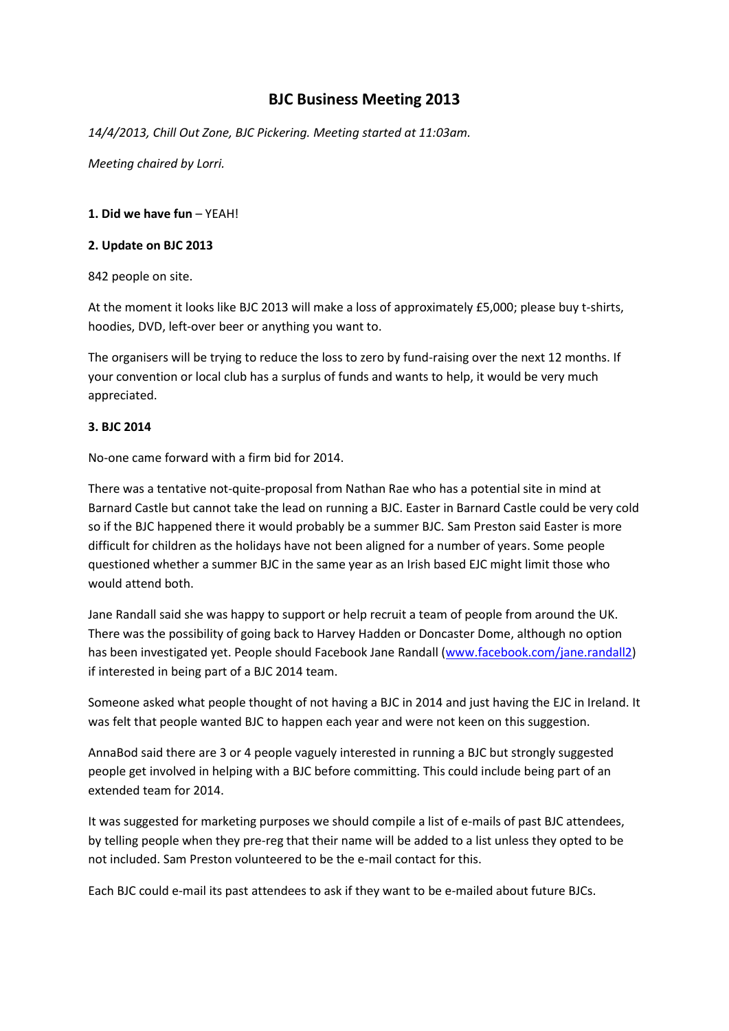# **BJC Business Meeting 2013**

*14/4/2013, Chill Out Zone, BJC Pickering. Meeting started at 11:03am.*

*Meeting chaired by Lorri.*

## **1. Did we have fun** – YEAH!

#### **2. Update on BJC 2013**

842 people on site.

At the moment it looks like BJC 2013 will make a loss of approximately £5,000; please buy t-shirts, hoodies, DVD, left-over beer or anything you want to.

The organisers will be trying to reduce the loss to zero by fund-raising over the next 12 months. If your convention or local club has a surplus of funds and wants to help, it would be very much appreciated.

## **3. BJC 2014**

No-one came forward with a firm bid for 2014.

There was a tentative not-quite-proposal from Nathan Rae who has a potential site in mind at Barnard Castle but cannot take the lead on running a BJC. Easter in Barnard Castle could be very cold so if the BJC happened there it would probably be a summer BJC. Sam Preston said Easter is more difficult for children as the holidays have not been aligned for a number of years. Some people questioned whether a summer BJC in the same year as an Irish based EJC might limit those who would attend both.

Jane Randall said she was happy to support or help recruit a team of people from around the UK. There was the possibility of going back to Harvey Hadden or Doncaster Dome, although no option has been investigated yet. People should Facebook Jane Randall [\(www.facebook.com/jane.randall2\)](http://www.facebook.com/jane.randall2) if interested in being part of a BJC 2014 team.

Someone asked what people thought of not having a BJC in 2014 and just having the EJC in Ireland. It was felt that people wanted BJC to happen each year and were not keen on this suggestion.

AnnaBod said there are 3 or 4 people vaguely interested in running a BJC but strongly suggested people get involved in helping with a BJC before committing. This could include being part of an extended team for 2014.

It was suggested for marketing purposes we should compile a list of e-mails of past BJC attendees, by telling people when they pre-reg that their name will be added to a list unless they opted to be not included. Sam Preston volunteered to be the e-mail contact for this.

Each BJC could e-mail its past attendees to ask if they want to be e-mailed about future BJCs.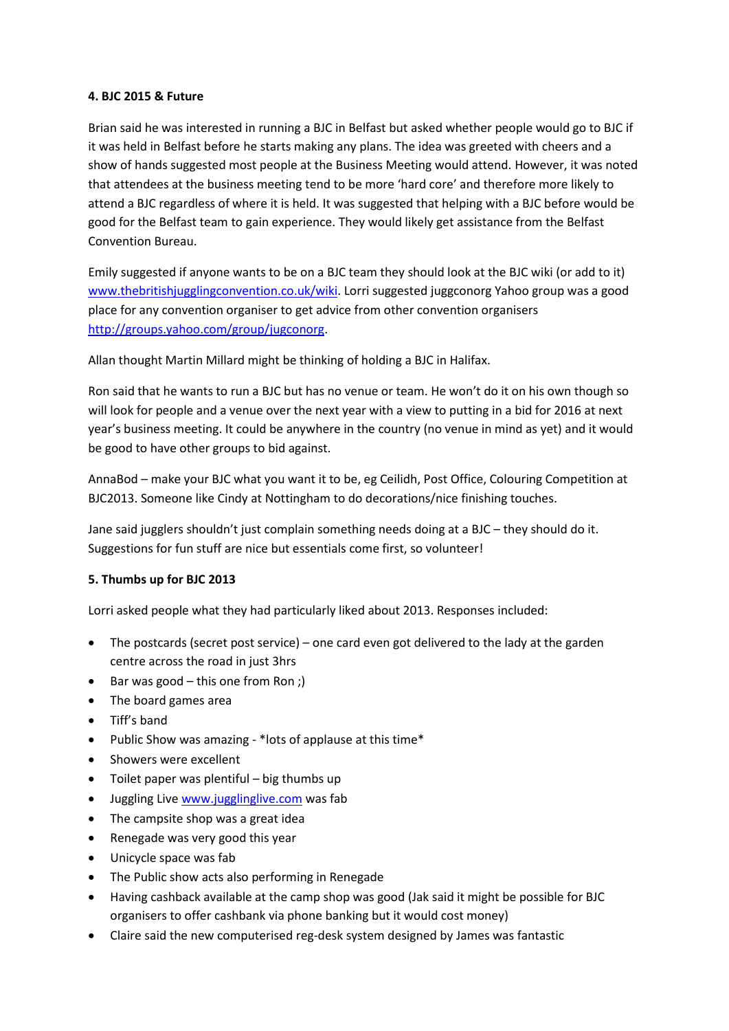#### **4. BJC 2015 & Future**

Brian said he was interested in running a BJC in Belfast but asked whether people would go to BJC if it was held in Belfast before he starts making any plans. The idea was greeted with cheers and a show of hands suggested most people at the Business Meeting would attend. However, it was noted that attendees at the business meeting tend to be more 'hard core' and therefore more likely to attend a BJC regardless of where it is held. It was suggested that helping with a BJC before would be good for the Belfast team to gain experience. They would likely get assistance from the Belfast Convention Bureau.

Emily suggested if anyone wants to be on a BJC team they should look at the BJC wiki (or add to it) [www.thebritishjugglingconvention.co.uk/wiki.](http://www.thebritishjugglingconvention.co.uk/wiki) Lorri suggested juggconorg Yahoo group was a good place for any convention organiser to get advice from other convention organisers [http://groups.yahoo.com/group/jugconorg.](http://groups.yahoo.com/group/jugconorg/)

Allan thought Martin Millard might be thinking of holding a BJC in Halifax.

Ron said that he wants to run a BJC but has no venue or team. He won't do it on his own though so will look for people and a venue over the next year with a view to putting in a bid for 2016 at next year's business meeting. It could be anywhere in the country (no venue in mind as yet) and it would be good to have other groups to bid against.

AnnaBod – make your BJC what you want it to be, eg Ceilidh, Post Office, Colouring Competition at BJC2013. Someone like Cindy at Nottingham to do decorations/nice finishing touches.

Jane said jugglers shouldn't just complain something needs doing at a BJC – they should do it. Suggestions for fun stuff are nice but essentials come first, so volunteer!

## **5. Thumbs up for BJC 2013**

Lorri asked people what they had particularly liked about 2013. Responses included:

- The postcards (secret post service) one card even got delivered to the lady at the garden centre across the road in just 3hrs
- $\bullet$  Bar was good this one from Ron;)
- The board games area
- Tiff's band
- Public Show was amazing \*lots of applause at this time\*
- Showers were excellent
- $\bullet$  Toilet paper was plentiful big thumbs up
- Juggling Live [www.jugglinglive.com](http://www.jugglinglive.com/) was fab
- The campsite shop was a great idea
- Renegade was very good this year
- Unicycle space was fab
- The Public show acts also performing in Renegade
- Having cashback available at the camp shop was good (Jak said it might be possible for BJC organisers to offer cashbank via phone banking but it would cost money)
- Claire said the new computerised reg-desk system designed by James was fantastic